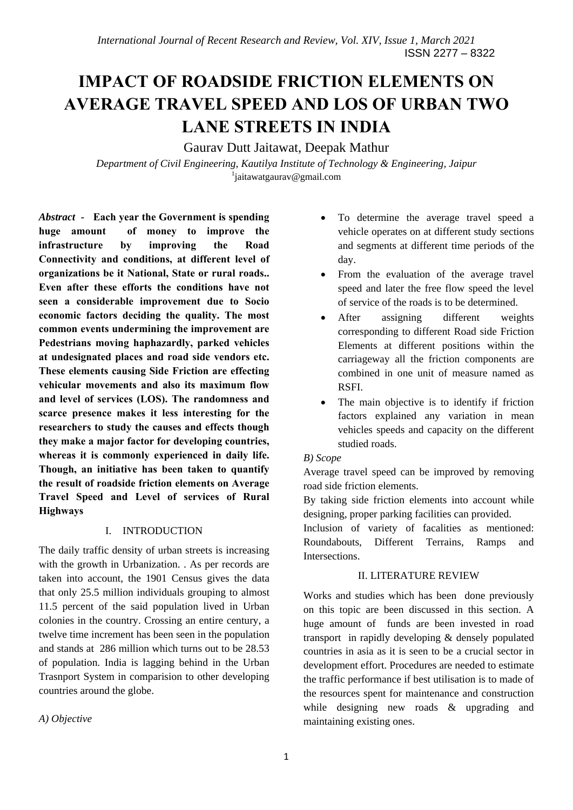# **IMPACT OF ROADSIDE FRICTION ELEMENTS ON AVERAGE TRAVEL SPEED AND LOS OF URBAN TWO LANE STREETS IN INDIA**

Gaurav Dutt Jaitawat, Deepak Mathur

*Department of Civil Engineering, Kautilya Institute of Technology & Engineering, Jaipur* 1 jaitawatgaurav@gmail.com

*Abstract -* **Each year the Government is spending huge amount of money to improve the infrastructure by improving the Road Connectivity and conditions, at different level of organizations be it National, State or rural roads.. Even after these efforts the conditions have not seen a considerable improvement due to Socio economic factors deciding the quality. The most common events undermining the improvement are Pedestrians moving haphazardly, parked vehicles at undesignated places and road side vendors etc. These elements causing Side Friction are effecting vehicular movements and also its maximum flow and level of services (LOS). The randomness and scarce presence makes it less interesting for the researchers to study the causes and effects though they make a major factor for developing countries, whereas it is commonly experienced in daily life. Though, an initiative has been taken to quantify the result of roadside friction elements on Average Travel Speed and Level of services of Rural Highways** 

# I. INTRODUCTION

The daily traffic density of urban streets is increasing with the growth in Urbanization. . As per records are taken into account, the 1901 Census gives the data that only 25.5 million individuals grouping to almost 11.5 percent of the said population lived in Urban colonies in the country. Crossing an entire century, a twelve time increment has been seen in the population and stands at 286 million which turns out to be 28.53 of population. India is lagging behind in the Urban Trasnport System in comparision to other developing countries around the globe.

*A) Objective* 

- To determine the average travel speed a vehicle operates on at different study sections and segments at different time periods of the day.
- From the evaluation of the average travel speed and later the free flow speed the level of service of the roads is to be determined.
- After assigning different weights corresponding to different Road side Friction Elements at different positions within the carriageway all the friction components are combined in one unit of measure named as RSFI.
- The main objective is to identify if friction factors explained any variation in mean vehicles speeds and capacity on the different studied roads.

## *B) Scope*

Average travel speed can be improved by removing road side friction elements.

By taking side friction elements into account while designing, proper parking facilities can provided.

Inclusion of variety of facalities as mentioned: Roundabouts, Different Terrains, Ramps and Intersections.

## II. LITERATURE REVIEW

Works and studies which has been done previously on this topic are been discussed in this section. A huge amount of funds are been invested in road transport in rapidly developing & densely populated countries in asia as it is seen to be a crucial sector in development effort. Procedures are needed to estimate the traffic performance if best utilisation is to made of the resources spent for maintenance and construction while designing new roads & upgrading and maintaining existing ones.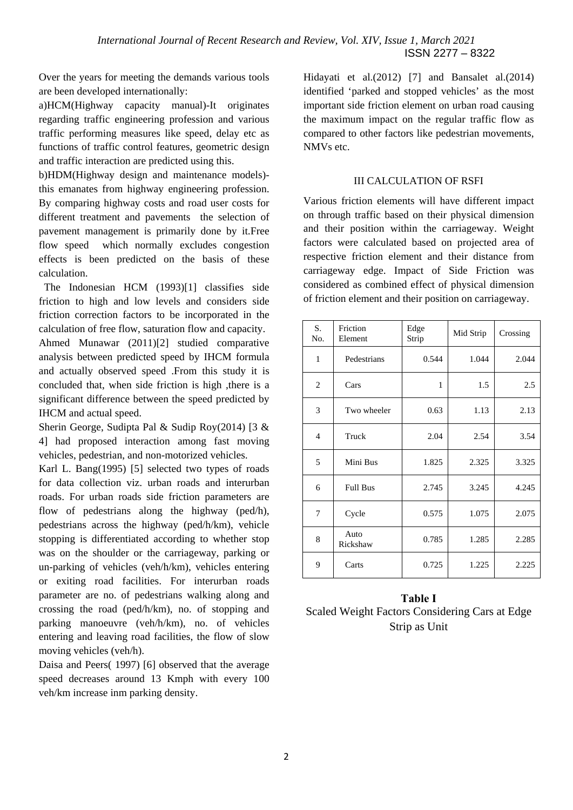Over the years for meeting the demands various tools are been developed internationally:

a)HCM(Highway capacity manual)-It originates regarding traffic engineering profession and various traffic performing measures like speed, delay etc as functions of traffic control features, geometric design and traffic interaction are predicted using this.

b)HDM(Highway design and maintenance models) this emanates from highway engineering profession. By comparing highway costs and road user costs for different treatment and pavements the selection of pavement management is primarily done by it.Free flow speed which normally excludes congestion effects is been predicted on the basis of these calculation.

 The Indonesian HCM (1993)[1] classifies side friction to high and low levels and considers side friction correction factors to be incorporated in the calculation of free flow, saturation flow and capacity.

Ahmed Munawar (2011)[2] studied comparative analysis between predicted speed by IHCM formula and actually observed speed .From this study it is concluded that, when side friction is high ,there is a significant difference between the speed predicted by IHCM and actual speed.

Sherin George, Sudipta Pal & Sudip Roy(2014) [3 & 4] had proposed interaction among fast moving vehicles, pedestrian, and non-motorized vehicles.

Karl L. Bang(1995) [5] selected two types of roads for data collection viz. urban roads and interurban roads. For urban roads side friction parameters are flow of pedestrians along the highway (ped/h), pedestrians across the highway (ped/h/km), vehicle stopping is differentiated according to whether stop was on the shoulder or the carriageway, parking or un-parking of vehicles (veh/h/km), vehicles entering or exiting road facilities. For interurban roads parameter are no. of pedestrians walking along and crossing the road (ped/h/km), no. of stopping and parking manoeuvre (veh/h/km), no. of vehicles entering and leaving road facilities, the flow of slow moving vehicles (veh/h).

Daisa and Peers( 1997) [6] observed that the average speed decreases around 13 Kmph with every 100 veh/km increase inm parking density.

Hidayati et al.(2012) [7] and Bansalet al.(2014) identified 'parked and stopped vehicles' as the most important side friction element on urban road causing the maximum impact on the regular traffic flow as compared to other factors like pedestrian movements, NMVs etc.

### III CALCULATION OF RSFI

Various friction elements will have different impact on through traffic based on their physical dimension and their position within the carriageway. Weight factors were calculated based on projected area of respective friction element and their distance from carriageway edge. Impact of Side Friction was considered as combined effect of physical dimension of friction element and their position on carriageway.

| S.<br>No.      | Friction<br>Element | Edge<br>Strip | Mid Strip | Crossing |
|----------------|---------------------|---------------|-----------|----------|
| 1              | Pedestrians         | 0.544         | 1.044     | 2.044    |
| $\overline{2}$ | Cars                | 1             | 1.5       | 2.5      |
| 3              | Two wheeler         | 0.63          | 1.13      | 2.13     |
| $\overline{4}$ | Truck               | 2.04          | 2.54      | 3.54     |
| 5              | Mini Bus            | 1.825         | 2.325     | 3.325    |
| 6              | <b>Full Bus</b>     | 2.745         | 3.245     | 4.245    |
| 7              | Cycle               | 0.575         | 1.075     | 2.075    |
| 8              | Auto<br>Rickshaw    | 0.785         | 1.285     | 2.285    |
| 9              | Carts               | 0.725         | 1.225     | 2.225    |

# **Table I**  Scaled Weight Factors Considering Cars at Edge Strip as Unit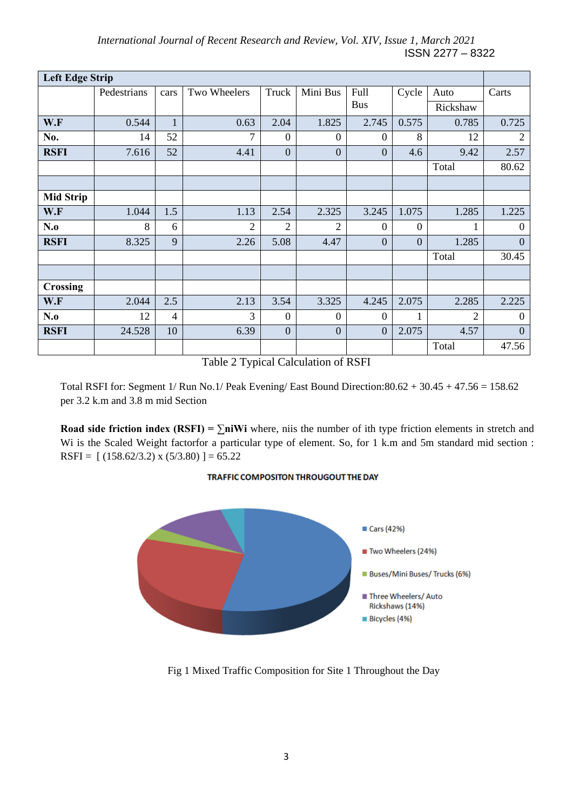*International Journal of Recent Research and Review, Vol. XIV, Issue 1, March 2021*  ISSN 2277 – 8322

| <b>Left Edge Strip</b> |             |      |                |                  |                  |                  |                  |                |                  |
|------------------------|-------------|------|----------------|------------------|------------------|------------------|------------------|----------------|------------------|
|                        | Pedestrians | cars | Two Wheelers   | Truck            | Mini Bus         | Full             | Cycle            | Auto           | Carts            |
|                        |             |      |                | <b>Bus</b>       |                  |                  | Rickshaw         |                |                  |
| W.F                    | 0.544       | 1    | 0.63           | 2.04             | 1.825            | 2.745            | 0.575            | 0.785          | 0.725            |
| No.                    | 14          | 52   | 7              | $\boldsymbol{0}$ | $\mathbf{0}$     | $\overline{0}$   | 8                | 12             | $\overline{2}$   |
| <b>RSFI</b>            | 7.616       | 52   | 4.41           | $\overline{0}$   | $\overline{0}$   | $\overline{0}$   | 4.6              | 9.42           | 2.57             |
|                        |             |      |                |                  |                  |                  |                  | Total          | 80.62            |
|                        |             |      |                |                  |                  |                  |                  |                |                  |
| <b>Mid Strip</b>       |             |      |                |                  |                  |                  |                  |                |                  |
| W.F                    | 1.044       | 1.5  | 1.13           | 2.54             | 2.325            | 3.245            | 1.075            | 1.285          | 1.225            |
| N.o                    | 8           | 6    | $\overline{2}$ | $\overline{2}$   | $\overline{2}$   | $\theta$         | $\boldsymbol{0}$ |                | $\boldsymbol{0}$ |
| <b>RSFI</b>            | 8.325       | 9    | 2.26           | 5.08             | 4.47             | $\overline{0}$   | $\overline{0}$   | 1.285          | $\overline{0}$   |
|                        |             |      |                |                  |                  |                  |                  | Total          | 30.45            |
|                        |             |      |                |                  |                  |                  |                  |                |                  |
| <b>Crossing</b>        |             |      |                |                  |                  |                  |                  |                |                  |
| W.F                    | 2.044       | 2.5  | 2.13           | 3.54             | 3.325            | 4.245            | 2.075            | 2.285          | 2.225            |
| N.o                    | 12          | 4    | 3              | $\boldsymbol{0}$ | $\boldsymbol{0}$ | $\boldsymbol{0}$ |                  | $\overline{2}$ | $\overline{0}$   |
| <b>RSFI</b>            | 24.528      | 10   | 6.39           | $\boldsymbol{0}$ | $\overline{0}$   | $\overline{0}$   | 2.075            | 4.57           | $\overline{0}$   |
|                        |             |      |                |                  |                  |                  |                  | Total          | 47.56            |

Table 2 Typical Calculation of RSFI

Total RSFI for: Segment 1/ Run No.1/ Peak Evening/ East Bound Direction:80.62 + 30.45 + 47.56 = 158.62 per 3.2 k.m and 3.8 m mid Section

**Road side friction index (RSFI) =**  $\sum$ **<b>niWi** where, niis the number of ith type friction elements in stretch and Wi is the Scaled Weight factorfor a particular type of element. So, for 1 k.m and 5m standard mid section : RSFI =  $[(158.62/3.2) \times (5/3.80)]=65.22$ 

#### TRAFFIC COMPOSITON THROUGOUT THE DAY



Fig 1 Mixed Traffic Composition for Site 1 Throughout the Day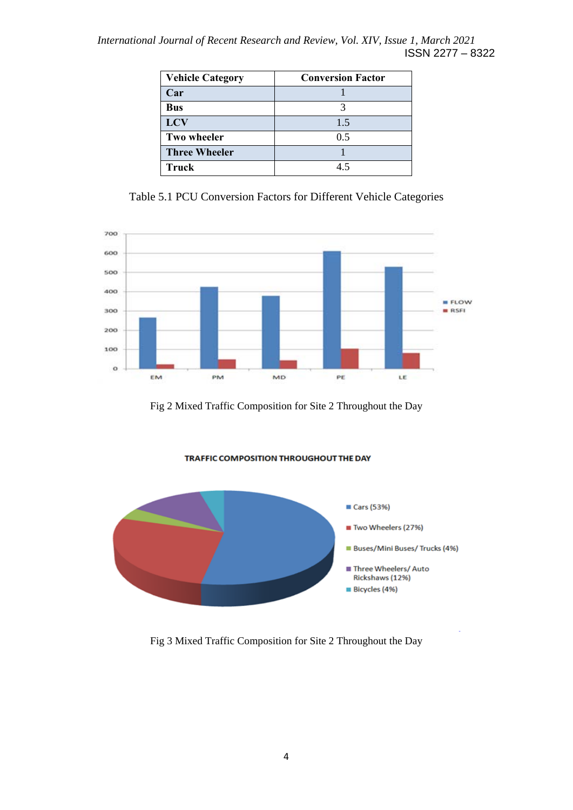*International Journal of Recent Research and Review, Vol. XIV, Issue 1, March 2021*  ISSN 2277 – 8322

| <b>Vehicle Category</b> | <b>Conversion Factor</b> |
|-------------------------|--------------------------|
| Car                     |                          |
| <b>Bus</b>              |                          |
| <b>LCV</b>              | 1.5                      |
| <b>Two wheeler</b>      | 0.5                      |
| <b>Three Wheeler</b>    |                          |
| Truck                   | 45                       |

Table 5.1 PCU Conversion Factors for Different Vehicle Categories



Fig 2 Mixed Traffic Composition for Site 2 Throughout the Day





Fig 3 Mixed Traffic Composition for Site 2 Throughout the Day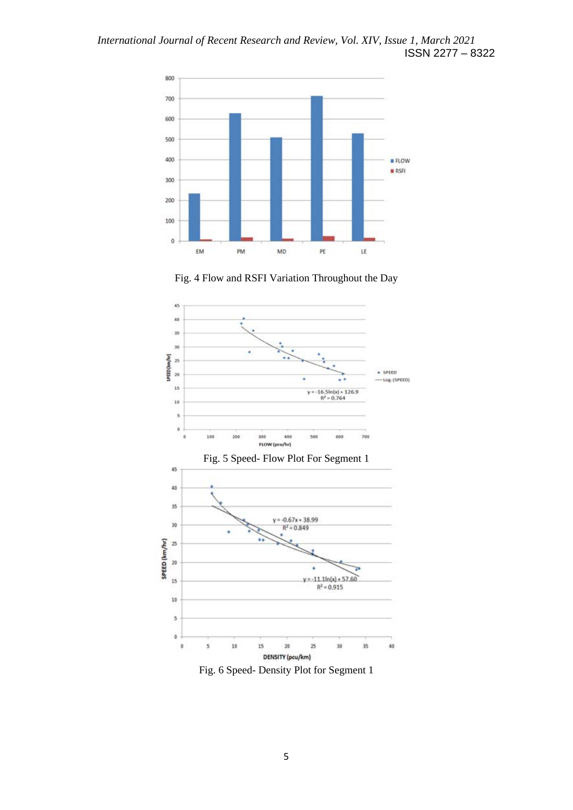

Fig. 4 Flow and RSFI Variation Throughout the Day



Fig. 6 Speed- Density Plot for Segment 1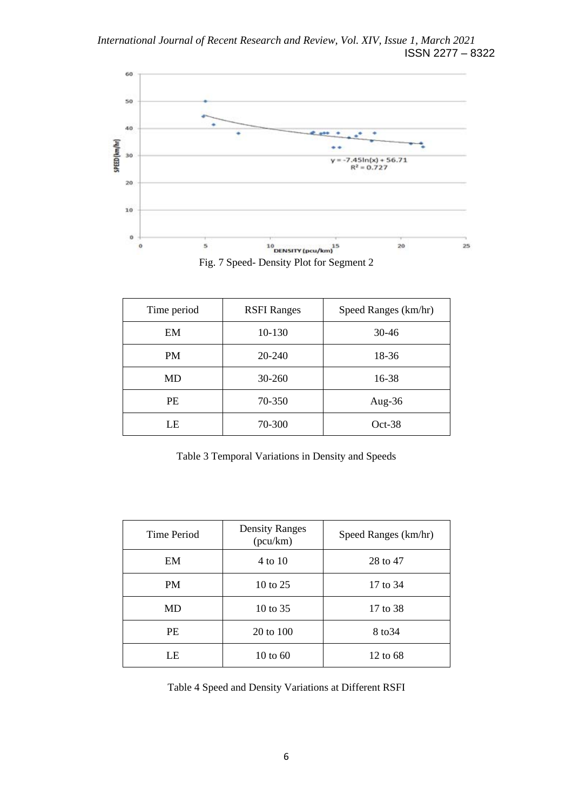

Time period RSFI Ranges | Speed Ranges (km/hr) EM 10-130 30-46 PM 20-240 18-36 MD 30-260 16-38 PE 70-350 Aug-36 LE 70-300 Oct-38

Table 3 Temporal Variations in Density and Speeds

| Time Period | <b>Density Ranges</b><br>(pcu/km) | Speed Ranges (km/hr) |  |
|-------------|-----------------------------------|----------------------|--|
| EM          | 4 to 10                           | 28 to 47             |  |
| PM          | 10 to 25                          | 17 to 34             |  |
| MD          | 10 to $35$                        | 17 to 38             |  |
| <b>PE</b>   | 20 to 100                         | 8 to 34              |  |
| LE          | 10 to $60$                        | 12 to 68             |  |

Table 4 Speed and Density Variations at Different RSFI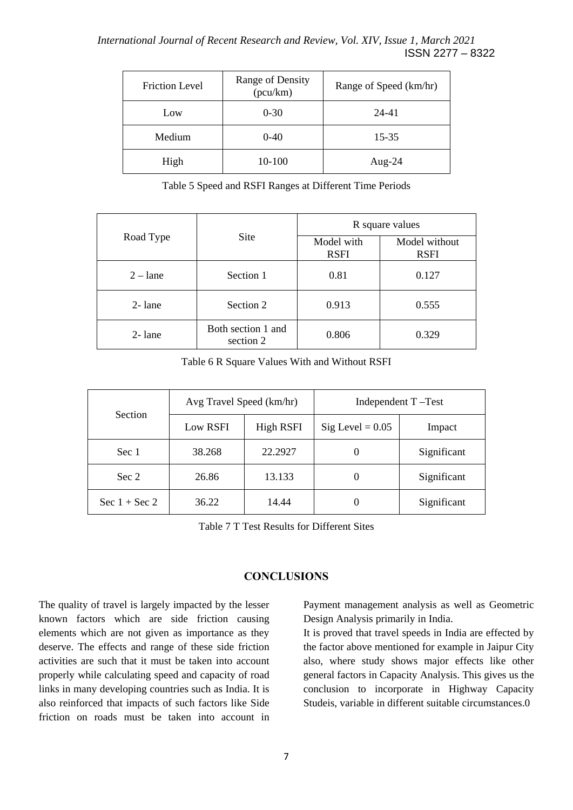| <b>Friction Level</b> | Range of Density<br>(pcu/km) | Range of Speed (km/hr) |  |
|-----------------------|------------------------------|------------------------|--|
| Low                   | $0 - 30$                     | $24 - 41$              |  |
| Medium                | $0-40$                       | 15-35                  |  |
| High                  | 10-100                       | Aug- $24$              |  |

Table 5 Speed and RSFI Ranges at Different Time Periods

|                                              |           | R square values           |                              |  |
|----------------------------------------------|-----------|---------------------------|------------------------------|--|
| Road Type                                    | Site      | Model with<br><b>RSFI</b> | Model without<br><b>RSFI</b> |  |
| $2 -$ lane                                   | Section 1 | 0.81                      | 0.127                        |  |
| $2$ -lane                                    | Section 2 | 0.913                     | 0.555                        |  |
| Both section 1 and<br>$2$ -lane<br>section 2 |           | 0.806                     | 0.329                        |  |

Table 6 R Square Values With and Without RSFI

| <b>Section</b>    | Avg Travel Speed (km/hr) |                  | Independent T-Test |             |  |
|-------------------|--------------------------|------------------|--------------------|-------------|--|
|                   | Low RSFI                 | <b>High RSFI</b> | Sig Level = $0.05$ | Impact      |  |
| Sec 1             | 38.268                   | 22.2927          |                    | Significant |  |
| Sec 2             | 26.86                    | 13.133           |                    | Significant |  |
| Sec $1 +$ Sec $2$ | 36.22                    | 14.44            |                    | Significant |  |

Table 7 T Test Results for Different Sites

## **CONCLUSIONS**

The quality of travel is largely impacted by the lesser known factors which are side friction causing elements which are not given as importance as they deserve. The effects and range of these side friction activities are such that it must be taken into account properly while calculating speed and capacity of road links in many developing countries such as India. It is also reinforced that impacts of such factors like Side friction on roads must be taken into account in

Payment management analysis as well as Geometric Design Analysis primarily in India.

It is proved that travel speeds in India are effected by the factor above mentioned for example in Jaipur City also, where study shows major effects like other general factors in Capacity Analysis. This gives us the conclusion to incorporate in Highway Capacity Studeis, variable in different suitable circumstances.0